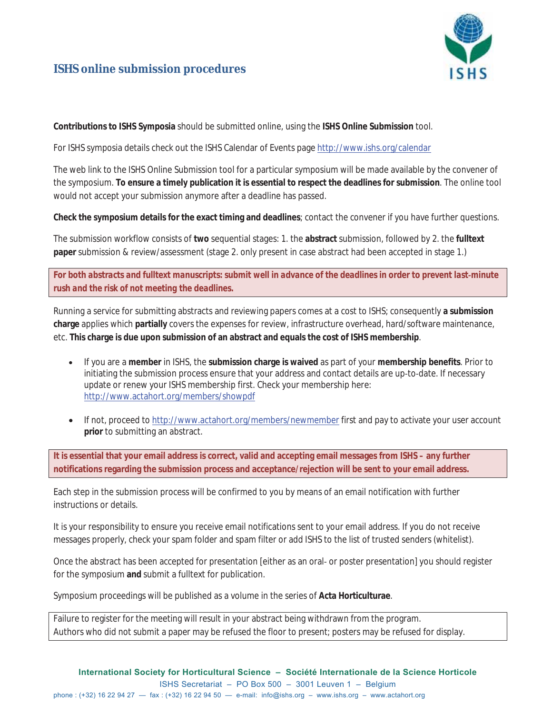# **ISHS online submission procedures**



**Contributions to ISHS Symposia** should be submitted online, using the **ISHS Online Submission** tool.

For ISHS symposia details check out the ISHS Calendar of Events page http://www.ishs.org/calendar

The web link to the ISHS Online Submission tool for a particular symposium will be made available by the convener of the symposium. **To ensure a timely publication it is essential to respect the deadlines for submission**. The online tool would not accept your submission anymore after a deadline has passed.

**Check the symposium details for the exact timing and deadlines**; contact the convener if you have further questions.

The submission workflow consists of **two** sequential stages: 1. the **abstract** submission, followed by 2. the **fulltext paper** submission & review/assessment (stage 2. only present in case abstract had been accepted in stage 1.)

For both abstracts and fulltext manuscripts: submit well in advance of the deadlines in order to prevent last-minute *rush and the risk of not meeting the deadlines.*

Running a service for submitting abstracts and reviewing papers comes at a cost to ISHS; consequently **a submission charge** applies which **partially** covers the expenses for review, infrastructure overhead, hard/software maintenance, etc. **This charge is due upon submission of an abstract and equals the cost of ISHS membership**.

- x If you are a **member** in ISHS, the **submission charge is waived** as part of your **membership benefits**. Prior to initiating the submission process ensure that your address and contact details are up-to-date. If necessary update or renew your ISHS membership first. Check your membership here: http://www.actahort.org/members/showpdf
- If not, proceed to http://www.actahort.org/members/newmember first and pay to activate your user account **prior** to submitting an abstract.

It is essential that your email address is correct, valid and accepting email messages from ISHS - any further **notifications regarding the submission process and acceptance/rejection will be sent to your email address.**

Each step in the submission process will be confirmed to you by means of an email notification with further instructions or details.

It is your responsibility to ensure you receive email notifications sent to your email address. If you do not receive messages properly, check your spam folder and spam filter or add ISHS to the list of trusted senders (whitelist).

Once the abstract has been accepted for presentation [either as an oral- or poster presentation] you should register for the symposium **and** submit a fulltext for publication.

Symposium proceedings will be published as a volume in the series of **Acta Horticulturae**.

Failure to register for the meeting will result in your abstract being withdrawn from the program. Authors who did not submit a paper may be refused the floor to present; posters may be refused for display.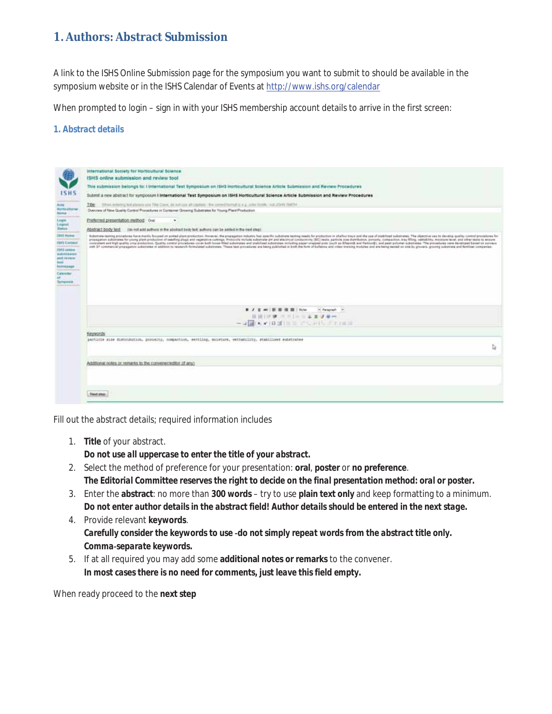## **1. Authors: Abstract Submission**

A link to the ISHS Online Submission page for the symposium you want to submit to should be available in the symposium website or in the ISHS Calendar of Events at http://www.ishs.org/calendar

When prompted to login – sign in with your ISHS membership account details to arrive in the first screen:

*1. Abstract details*

|                                         | International Society for Horticultural Science                                                                                                                                                                                                                                                                                                                                                                                                                  |
|-----------------------------------------|------------------------------------------------------------------------------------------------------------------------------------------------------------------------------------------------------------------------------------------------------------------------------------------------------------------------------------------------------------------------------------------------------------------------------------------------------------------|
|                                         | 1SHS online submission and review tool                                                                                                                                                                                                                                                                                                                                                                                                                           |
|                                         | This submission belongs to: I International Test Symposium on ISHS Horticultural Science Article Submission and Review Procedures                                                                                                                                                                                                                                                                                                                                |
| <b>ISHS</b>                             | Submit a new abstract for symposium I International Test Symposium on ISHS Horticultural Science Article Submission and Review Procedures                                                                                                                                                                                                                                                                                                                        |
| Acts.                                   | The "Which Information and This Count and the country of a service and the control formation is a private testing and 2041 (1877) 4                                                                                                                                                                                                                                                                                                                              |
| <b>Nordcaltures</b><br><b>Normal</b>    | Overview of New Guardy Control Procedures in Container Growing Substrates for Young Plant Production                                                                                                                                                                                                                                                                                                                                                             |
| <b>Logie!</b>                           | Preferred presentation method Oral                                                                                                                                                                                                                                                                                                                                                                                                                               |
| Logout.<br><b>Status</b>                | Abstract body text<br>(do not add authors in the abstract body left authors can be added in the next step)                                                                                                                                                                                                                                                                                                                                                       |
| <b>ISHE Romes</b>                       | Substrate teating precedures have mainly because a patted plant production. However, the propagators inclusive has specific substrates the prediction in adults travel and the use of studilized aubitors. The elipctive use t                                                                                                                                                                                                                                   |
| <b>IBIL Centract</b>                    | propagator sidenates for young plant productive of execting plags and vegetative custogs. Protocols include adverse pM and electrical conductivity (BE) mote, particle and effectivity, borney, compaction, tray filling, vest<br>consisted and high anality one production. Quality control procedures cover both linear filled exhational and stabilized autotivises including paper unspeed parts (such as Ellicottil and ParticalE), and paper polymer subst |
| 1585 central                            | with 37 conversible propagative aukoronal and document formulated aukorona. These text procedures are being published in both the further and video out and online und and we have being termed on orte by grovens, preving au                                                                                                                                                                                                                                   |
| <b><i>ANGERSSMAN</i></b><br>and review. |                                                                                                                                                                                                                                                                                                                                                                                                                                                                  |
| <b>NOTHER BASE</b>                      |                                                                                                                                                                                                                                                                                                                                                                                                                                                                  |
| Calledoted                              |                                                                                                                                                                                                                                                                                                                                                                                                                                                                  |
| Tampicolo.                              |                                                                                                                                                                                                                                                                                                                                                                                                                                                                  |
|                                         |                                                                                                                                                                                                                                                                                                                                                                                                                                                                  |
|                                         |                                                                                                                                                                                                                                                                                                                                                                                                                                                                  |
|                                         |                                                                                                                                                                                                                                                                                                                                                                                                                                                                  |
|                                         |                                                                                                                                                                                                                                                                                                                                                                                                                                                                  |
|                                         | ■ J H W 图 图 图 图 W/W K Persprent H                                                                                                                                                                                                                                                                                                                                                                                                                                |
|                                         | 日日  FW 水水  一かるます※※                                                                                                                                                                                                                                                                                                                                                                                                                                               |
|                                         |                                                                                                                                                                                                                                                                                                                                                                                                                                                                  |
|                                         |                                                                                                                                                                                                                                                                                                                                                                                                                                                                  |
|                                         | <b>NATIONALIST</b><br>particle size distribution, posseity, compaction, settling, moisture, wettanility, stabilized substrates                                                                                                                                                                                                                                                                                                                                   |
|                                         | Q                                                                                                                                                                                                                                                                                                                                                                                                                                                                |
|                                         |                                                                                                                                                                                                                                                                                                                                                                                                                                                                  |
|                                         |                                                                                                                                                                                                                                                                                                                                                                                                                                                                  |
|                                         | Additional ricers or remarks to the convenentedible (if any)                                                                                                                                                                                                                                                                                                                                                                                                     |
|                                         |                                                                                                                                                                                                                                                                                                                                                                                                                                                                  |
|                                         |                                                                                                                                                                                                                                                                                                                                                                                                                                                                  |
|                                         | Next step:                                                                                                                                                                                                                                                                                                                                                                                                                                                       |

Fill out the abstract details; required information includes

- 1. **Title** of your abstract. *Do not use all uppercase to enter the title of your abstract***.**
- 2. Select the method of preference for your presentation: **oral**, **poster** or **no preference**. *The Editorial Committee reserves the right to decide on the final presentation method: oral or poster***.**
- 3. Enter the **abstract**: no more than **300 words** try to use **plain text only** and keep formatting to a minimum. Do not enter author details in the abstract field! Author details should be entered in the next stage.
- 4. Provide relevant **keywords**. *Carefully consider the keywords to useͲdo not simply repeat words from the abstract title only. CommaͲseparate keywords.*
- 5. If at all required you may add some **additional notes or remarks** to the convener. *In most cases there is no need for comments, just leave this field empty***.**

When ready proceed to the **next step**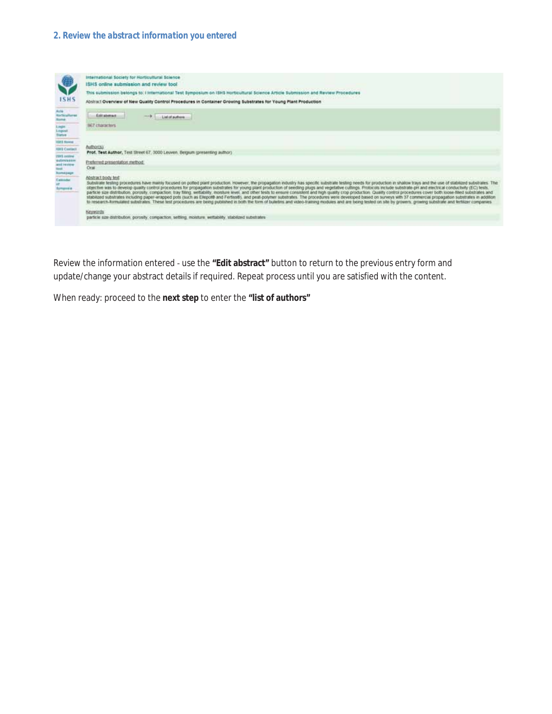|                                                            | International Society for Horticultural Science<br>ISHS online submission and review tool                                                                                                                                                                                                                                                                                                                                                                                                                                                                                                                                                                                                                                                                                                                                                                                                                                                                                                                                                                                                                                                                                |
|------------------------------------------------------------|--------------------------------------------------------------------------------------------------------------------------------------------------------------------------------------------------------------------------------------------------------------------------------------------------------------------------------------------------------------------------------------------------------------------------------------------------------------------------------------------------------------------------------------------------------------------------------------------------------------------------------------------------------------------------------------------------------------------------------------------------------------------------------------------------------------------------------------------------------------------------------------------------------------------------------------------------------------------------------------------------------------------------------------------------------------------------------------------------------------------------------------------------------------------------|
| <b>ISHS</b>                                                | This submission belongs to: International Test Symposium on ISHS Horticultural Science Article Submission and Review Procedures<br>Abstract Overview of New Quality Control Procedures in Container Growing Substrates for Young Plant Production                                                                                                                                                                                                                                                                                                                                                                                                                                                                                                                                                                                                                                                                                                                                                                                                                                                                                                                        |
| Acts<br>Noticultures<br>Nome                               | Editabetract:<br>List of authors                                                                                                                                                                                                                                                                                                                                                                                                                                                                                                                                                                                                                                                                                                                                                                                                                                                                                                                                                                                                                                                                                                                                         |
| E.                                                         | <b>BE7</b> characters                                                                                                                                                                                                                                                                                                                                                                                                                                                                                                                                                                                                                                                                                                                                                                                                                                                                                                                                                                                                                                                                                                                                                    |
| <b>HIRT Rome</b><br><b>HAT Comes</b><br><b>ISHS</b> motive | <b>Authoritis</b><br>Prof. Test Author, Test Street 67, 3000 Leuven. Begsum (presenting author).                                                                                                                                                                                                                                                                                                                                                                                                                                                                                                                                                                                                                                                                                                                                                                                                                                                                                                                                                                                                                                                                         |
| extenission<br>and restew.                                 | Preferred presentation method.<br>Oral                                                                                                                                                                                                                                                                                                                                                                                                                                                                                                                                                                                                                                                                                                                                                                                                                                                                                                                                                                                                                                                                                                                                   |
| bed<br>Annapage<br>Ground<br>Armenia                       | Abstract body text<br>Substrate lesting procedures have mainly focused on potted plant production. However, the progagation industry has specific substrate testing needs for production in shalow trays and the use of stabilized substrates. The<br>objective was to develop quality control procedures for propagation substitutes for young plant production of seeding plugs and vegetative cultings. Protocots include substrate-pH and electrical conductivity (EC) tests.<br>particle size distribution, porusty, compaction, tray filling, weltability, moisture level, and other tests to ensure consistent and high quality crop production. Quality control procedures cover both loose-filed substrate<br>stabilized substrates including paper-imaged pols (such as Elegott) and Fertisstly, and peat-polymer substrates. The procedures were developed based on surveys with 37 commercial propagation substrates in addition<br>to research-formalated substrates. These test procedures are being published in both the form of bulletins and video-fraining modules and are being tested on site by growins, growing substrate and tertaper companies. |
|                                                            | Keywords<br>particle size distribution, porosity, compaction, setting, moniture, wettability, stabilized substrates                                                                                                                                                                                                                                                                                                                                                                                                                                                                                                                                                                                                                                                                                                                                                                                                                                                                                                                                                                                                                                                      |

Review the information entered - use the "Edit abstract" button to return to the previous entry form and update/change your abstract details if required. Repeat process until you are satisfied with the content.

When ready: proceed to the **next step** to enter the **"list of authors"**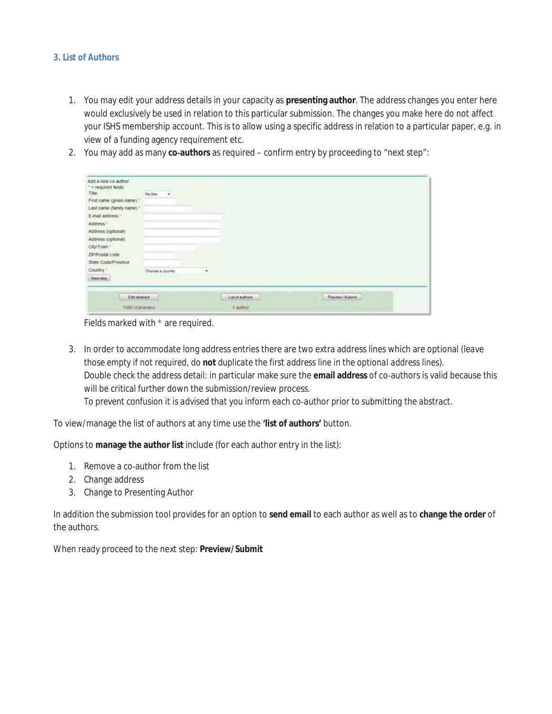#### *3. List of Authors*

- 1. You may edit your address details in your capacity as **presenting author**. The address changes you enter here would exclusively be used in relation to this particular submission. The changes you make here do not affect your ISHS membership account. This is to allow using a specific address in relation to a particular paper, e.g. in view of a funding agency requirement etc.
- 2. You may add as many co-authors as required confirm entry by proceeding to "next step":

| Edit abstract<br>1300 characters.                    |                                                             |   | Preview / Submit |
|------------------------------------------------------|-------------------------------------------------------------|---|------------------|
| Next step:                                           | <b>CONTRACTOR</b>                                           |   |                  |
| <b>Blate Code/Province</b><br>Country *              | a di manusia anche<br>Choose is country                     | ٠ |                  |
| City/Town."<br>ZIP/Postal code                       |                                                             |   |                  |
| Address (optional)                                   |                                                             |   |                  |
| Address (optional)                                   |                                                             |   |                  |
| E-mail address *<br>Address. <sup>4</sup>            |                                                             |   |                  |
| Last name (family name) *                            |                                                             |   |                  |
| First name (given name) *                            |                                                             |   |                  |
| Add a new co-author.<br>* = required fields<br>Title | <b>COLL</b><br><b>Printed Association</b><br>No title<br>×. |   |                  |

Fields marked with \* are required.

3. In order to accommodate long address entries there are two extra address lines which are optional (*leave those empty if not required, do not duplicate the first address line in the optional address lines*). Double check the address detail: in particular make sure the email address of co-authors is valid because this will be critical further down the submission/review process. To prevent confusion it is advised that you inform each co-author prior to submitting the abstract.

To view/manage the list of authors at any time use the **'list of authors'** button.

Options to **manage the author list** include (for each author entry in the list):

- 1. Remove a co-author from the list
- 2. Change address
- 3. Change to Presenting Author

In addition the submission tool provides for an option to **send email** to each author as well as to **change the order** of the authors.

When ready proceed to the next step: **Preview/Submit**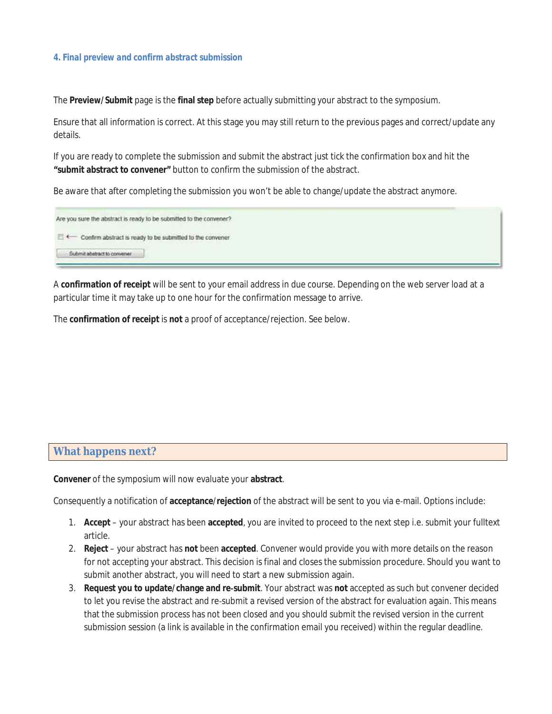#### *4. Final preview and confirm abstract submission*

The **Preview/Submit** page is the **final step** before actually submitting your abstract to the symposium.

Ensure that all information is correct. At this stage you may still return to the previous pages and correct/update any details.

If you are ready to complete the submission and submit the abstract just tick the confirmation box and hit the **"submit abstract to convener"** button to confirm the submission of the abstract.

Be aware that after completing the submission you won't be able to change/update the abstract anymore.

| Confirm abstract is ready to be submitted to the convener<br>ten av den staten i delen store i del store del store del store del store del store del store del store del st<br>submit abstract to convener | <b>AND AND A REPORT OF A REPORT OF A REPORT OF A REPORT OF A REPORT OF A REPORT OF A REPORT OF A REPORT OF A REPORT OF A REPORT OF A REPORT OF A REPORT OF A REPORT OF A REPORT OF A REPORT OF A REPORT OF A REPORT OF A REPORT </b> | Are you sure the abstract is ready to be submitted to the convener? |  |  |
|------------------------------------------------------------------------------------------------------------------------------------------------------------------------------------------------------------|--------------------------------------------------------------------------------------------------------------------------------------------------------------------------------------------------------------------------------------|---------------------------------------------------------------------|--|--|
|                                                                                                                                                                                                            |                                                                                                                                                                                                                                      |                                                                     |  |  |
|                                                                                                                                                                                                            |                                                                                                                                                                                                                                      |                                                                     |  |  |
|                                                                                                                                                                                                            | The company of the company of the state of the company of                                                                                                                                                                            |                                                                     |  |  |

A **confirmation of receipt** will be sent to your email address in due course. Depending on the web server load at a particular time it may take up to one hour for the confirmation message to arrive.

The **confirmation of receipt** is **not** a proof of acceptance/rejection. See below.

#### **What happens next?**

**Convener** of the symposium will now evaluate your **abstract**.

Consequently a notification of acceptance/rejection of the abstract will be sent to you via e-mail. Options include:

- 1. **Accept** your abstract has been **accepted**, you are invited to proceed to the next step i.e. submit your fulltext article.
- 2. **Reject** your abstract has **not** been **accepted**. Convener would provide you with more details on the reason for not accepting your abstract. This decision is final and closes the submission procedure. Should you want to submit another abstract, you will need to start a new submission again.
- 3. **Request you to update/change and reͲsubmit**. Your abstract was **not** accepted as such but convener decided to let you revise the abstract and re-submit a revised version of the abstract for evaluation again. This means that the submission process has not been closed and you should submit the revised version in the current submission session (a link is available in the confirmation email you received) within the regular deadline.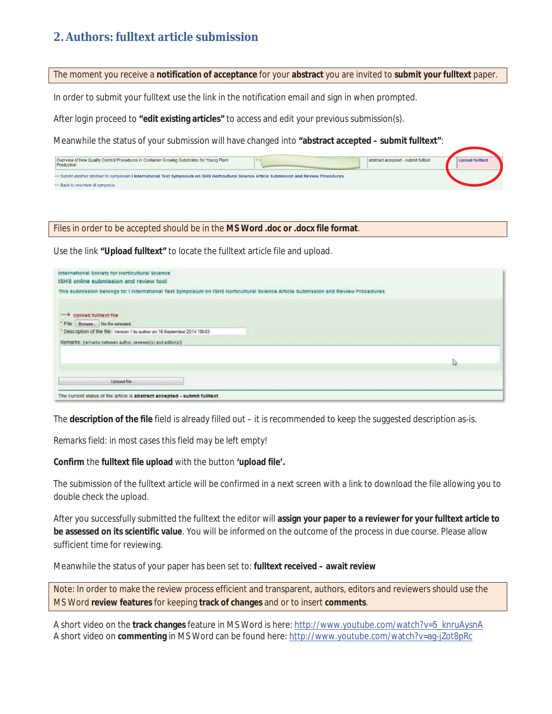# **2. Authors: fulltext article submission**

#### The moment you receive a **notification of acceptance** for your **abstract** you are invited to **submit your fulltext** paper.

In order to submit your fulltext use the link in the notification email and sign in when prompted.

After login proceed to **"edit existing articles"** to access and edit your previous submission(s).

Meanwhile the status of your submission will have changed into **"abstract accepted – submit fulltext"**:

| Overview of New Quality Control Procedures in Container Growing Substrates for Young Plant<br>abstract accepted - submit fulltext<br>Production | Upload fulltext |
|-------------------------------------------------------------------------------------------------------------------------------------------------|-----------------|
| => Submit another abstract to symposium I International Test Symposium on ISHS Horticultural Science Article Submission and Review Procedures.  |                 |
| => Back to overview of symposia.                                                                                                                |                 |

#### Files in order to be accepted should be in the **MS Word .doc or .docx file format**.

Use the link **"Upload fulltext"** to locate the fulltext article file and upload.

| International Society for Horticultural Science.<br>ISHS online submission and review tool                                                                                                                                                                 |    |
|------------------------------------------------------------------------------------------------------------------------------------------------------------------------------------------------------------------------------------------------------------|----|
| This submission belongs to: I International Test Symposium on ISHS Horticultural Science Article Submission and Review Procedures<br><u> Provincial Valoris (Alexandro Valoris) e contra la provincia de la contra Valoris de Comunicación e contra de</u> |    |
| Upload fulltext file<br>* File: Browse. No file selected.<br>* Description of the file. Version 1 by author on 16 September 2014 15h33<br>Remarks: tremarks between author: reviewer(s) and editor(s))                                                     |    |
|                                                                                                                                                                                                                                                            | D, |
| <b>Upload file</b>                                                                                                                                                                                                                                         |    |
| The current status of the article is abstract accepted - submit fulltext.                                                                                                                                                                                  |    |

The **description of the file** field is already filled out – it is recommended to keep the suggested description as-is.

*Remarks field: in most cases this field may be left empty!*

**Confirm** the **fulltext file upload** with the button **'upload file'.**

The submission of the fulltext article will be confirmed in a next screen with a link to download the file allowing you to double check the upload.

After you successfully submitted the fulltext the editor will **assign your paper to a reviewer for your fulltext article to be assessed on its scientific value**. You will be informed on the outcome of the process in due course. Please allow sufficient time for reviewing.

Meanwhile the status of your paper has been set to: **fulltext received – await review**

Note: In order to make the review process efficient and transparent, authors, editors and reviewers should use the MS Word **review features** for keeping **track of changes** and or to insert **comments**.

A short video on the **track changes** feature in MS Word is here: http://www.youtube.com/watch?v=5\_knruAysnA A short video on commenting in MS Word can be found here: http://www.youtube.com/watch?v=aq-jZot8pRc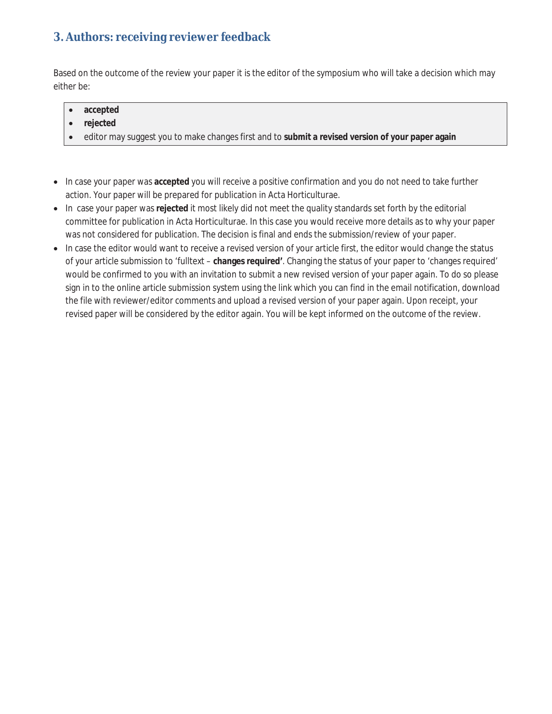# **3. Authors: receiving reviewer feedback**

Based on the outcome of the review your paper it is the editor of the symposium who will take a decision which may either be:

- **•** accepted
- **•** rejected
- x editor may suggest you to make changes first and to **submit a revised version of your paper again**
- x In case your paper was **accepted** you will receive a positive confirmation and you do not need to take further action. Your paper will be prepared for publication in Acta Horticulturae.
- x Incase your paper was **rejected** it most likely did not meet the quality standards set forth by the editorial committee for publication in Acta Horticulturae. In this case you would receive more details as to why your paper was not considered for publication. The decision is final and ends the submission/review of your paper.
- In case the editor would want to receive a revised version of your article first, the editor would change the status of your article submission to 'fulltext – **changes required'**. Changing the status of your paper to 'changes required' would be confirmed to you with an invitation to submit a new revised version of your paper again. To do so please sign in to the online article submission system using the link which you can find in the email notification, download the file with reviewer/editor comments and upload a revised version of your paper again. Upon receipt, your revised paper will be considered by the editor again. You will be kept informed on the outcome of the review.